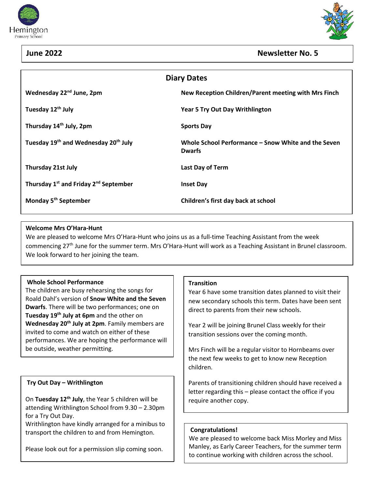





# **June 2022 Newsletter No. 5**

| <b>Diary Dates</b>                                            |                                                                      |
|---------------------------------------------------------------|----------------------------------------------------------------------|
| Wednesday 22 <sup>nd</sup> June, 2pm                          | New Reception Children/Parent meeting with Mrs Finch                 |
| Tuesday 12 <sup>th</sup> July                                 | <b>Year 5 Try Out Day Writhlington</b>                               |
| Thursday 14 <sup>th</sup> July, 2pm                           | <b>Sports Day</b>                                                    |
| Tuesday 19 <sup>th</sup> and Wednesday 20 <sup>th</sup> July  | Whole School Performance – Snow White and the Seven<br><b>Dwarfs</b> |
| <b>Thursday 21st July</b>                                     | Last Day of Term                                                     |
| Thursday 1 <sup>st</sup> and Friday 2 <sup>nd</sup> September | <b>Inset Day</b>                                                     |
| Monday 5 <sup>th</sup> September                              | Children's first day back at school                                  |
|                                                               |                                                                      |

### **Welcome Mrs O'Hara-Hunt**

We are pleased to welcome Mrs O'Hara-Hunt who joins us as a full-time Teaching Assistant from the week commencing 27th June for the summer term. Mrs O'Hara-Hunt will work as a Teaching Assistant in Brunel classroom. We look forward to her joining the team.

### **Whole School Performance**

The children are busy rehearsing the songs for Roald Dahl's version of **Snow White and the Seven Dwarfs**. There will be two performances; one on **Tuesday 19 th July at 6pm** and the other on **Wednesday 20th July at 2pm**. Family members are invited to come and watch on either of these performances. We are hoping the performance will be outside, weather permitting.

## **Try Out Day – Writhlington**

On **Tuesday 12th July**, the Year 5 children will be attending Writhlington School from 9.30 – 2.30pm for a Try Out Day.

Writhlington have kindly arranged for a minibus to transport the children to and from Hemington.

Please look out for a permission slip coming soon.

### **Transition**

Year 6 have some transition dates planned to visit their new secondary schools this term. Dates have been sent direct to parents from their new schools.

Year 2 will be joining Brunel Class weekly for their transition sessions over the coming month.

Mrs Finch will be a regular visitor to Hornbeams over the next few weeks to get to know new Reception children.

Parents of transitioning children should have received a letter regarding this – please contact the office if you require another copy.

### **Congratulations!**

We are pleased to welcome back Miss Morley and Miss Manley, as Early Career Teachers, for the summer term to continue working with children across the school.